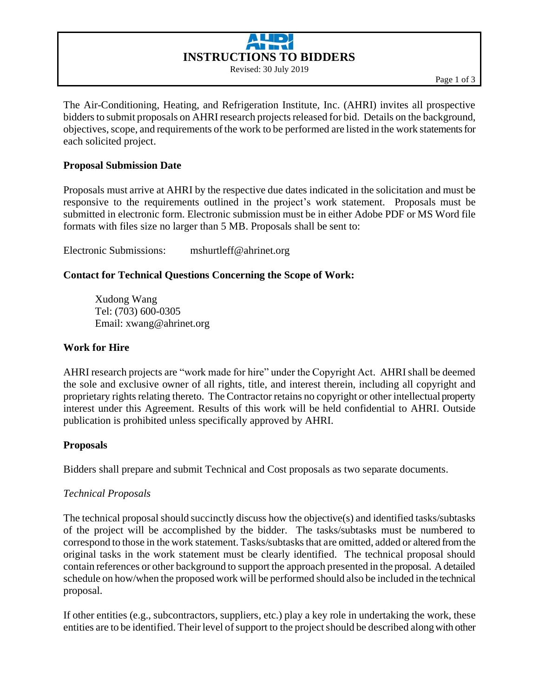# **INSTRUCTIONS TO BIDDERS** Revised: 30 July 2019

The Air-Conditioning, Heating, and Refrigeration Institute, Inc. (AHRI) invites all prospective bidders to submit proposals on AHRI research projects released for bid. Details on the background, objectives, scope, and requirements of the work to be performed are listed in the work statementsfor each solicited project.

### **Proposal Submission Date**

Proposals must arrive at AHRI by the respective due dates indicated in the solicitation and must be responsive to the requirements outlined in the project's work statement. Proposals must be submitted in electronic form. Electronic submission must be in either Adobe PDF or MS Word file formats with files size no larger than 5 MB. Proposals shall be sent to:

Electronic Submissions: mshurtleff@ahrinet.org

### **Contact for Technical Questions Concerning the Scope of Work:**

Xudong Wang Tel: (703) 600-0305 Email: xwang@ahrinet.org

#### **Work for Hire**

AHRI research projects are "work made for hire" under the Copyright Act. AHRI shall be deemed the sole and exclusive owner of all rights, title, and interest therein, including all copyright and proprietary rights relating thereto. The Contractor retains no copyright or other intellectual property interest under this Agreement. Results of this work will be held confidential to AHRI. Outside publication is prohibited unless specifically approved by AHRI.

### **Proposals**

Bidders shall prepare and submit Technical and Cost proposals as two separate documents.

### *Technical Proposals*

The technical proposal should succinctly discuss how the objective(s) and identified tasks/subtasks of the project will be accomplished by the bidder. The tasks/subtasks must be numbered to correspond to those in the work statement. Tasks/subtasks that are omitted, added or altered from the original tasks in the work statement must be clearly identified. The technical proposal should contain references or other background to support the approach presented in the proposal. A detailed schedule on how/when the proposed work will be performed should also be included in the technical proposal.

If other entities (e.g., subcontractors, suppliers, etc.) play a key role in undertaking the work, these entities are to be identified. Their level of support to the project should be described along with other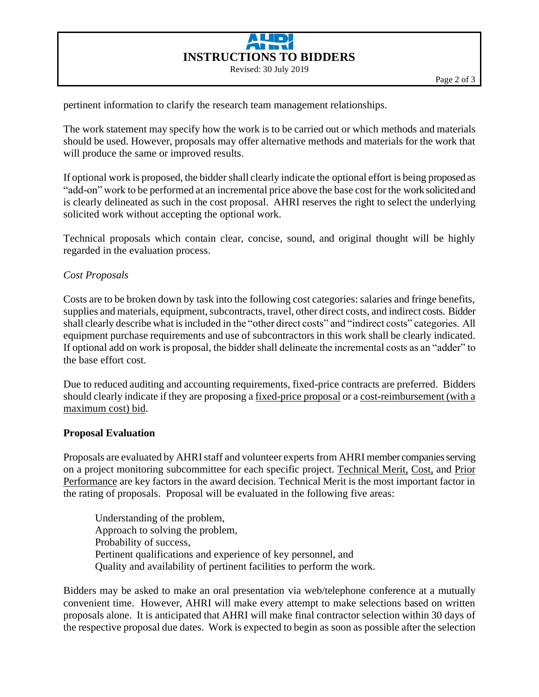

pertinent information to clarify the research team management relationships.

The work statement may specify how the work is to be carried out or which methods and materials should be used. However, proposals may offer alternative methods and materials for the work that will produce the same or improved results.

If optional work is proposed, the bidder shall clearly indicate the optional effort is being proposed as "add-on" work to be performed at an incremental price above the base cost for the work solicited and is clearly delineated as such in the cost proposal. AHRI reserves the right to select the underlying solicited work without accepting the optional work.

Technical proposals which contain clear, concise, sound, and original thought will be highly regarded in the evaluation process.

### *Cost Proposals*

Costs are to be broken down by task into the following cost categories: salaries and fringe benefits, supplies and materials, equipment, subcontracts, travel, other direct costs, and indirect costs. Bidder shall clearly describe what is included in the "other direct costs" and "indirect costs" categories. All equipment purchase requirements and use of subcontractors in this work shall be clearly indicated. If optional add on work is proposal, the bidder shall delineate the incremental costs as an "adder" to the base effort cost.

Due to reduced auditing and accounting requirements, fixed-price contracts are preferred. Bidders should clearly indicate if they are proposing a fixed-price proposal or a cost-reimbursement (with a maximum cost) bid.

### **Proposal Evaluation**

Proposals are evaluated by AHRI staff and volunteer experts from AHRI member companies serving on a project monitoring subcommittee for each specific project. Technical Merit, Cost, and Prior Performance are key factors in the award decision. Technical Merit is the most important factor in the rating of proposals. Proposal will be evaluated in the following five areas:

Understanding of the problem, Approach to solving the problem, Probability of success, Pertinent qualifications and experience of key personnel, and Quality and availability of pertinent facilities to perform the work.

Bidders may be asked to make an oral presentation via web/telephone conference at a mutually convenient time. However, AHRI will make every attempt to make selections based on written proposals alone. It is anticipated that AHRI will make final contractor selection within 30 days of the respective proposal due dates. Work is expected to begin as soon as possible after the selection